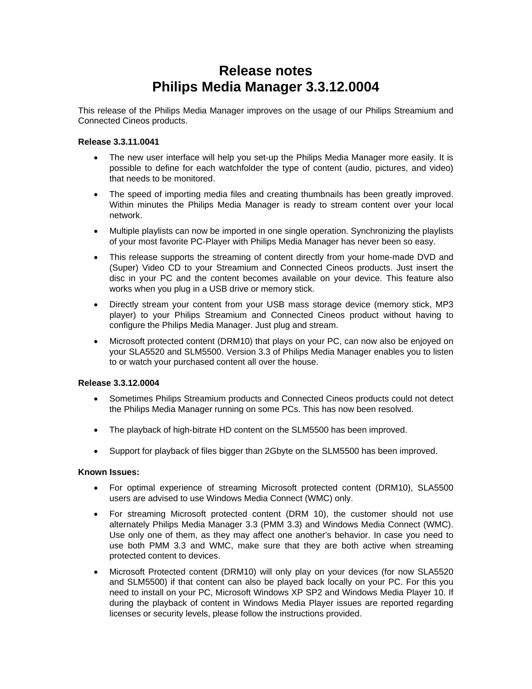# **Release notes Philips Media Manager 3.3.12.0004**

This release of the Philips Media Manager improves on the usage of our Philips Streamium and Connected Cineos products.

## **Release 3.3.11.0041**

- The new user interface will help you set-up the Philips Media Manager more easily. It is possible to define for each watchfolder the type of content (audio, pictures, and video) that needs to be monitored.
- The speed of importing media files and creating thumbnails has been greatly improved. Within minutes the Philips Media Manager is ready to stream content over your local network.
- Multiple playlists can now be imported in one single operation. Synchronizing the playlists of your most favorite PC-Player with Philips Media Manager has never been so easy.
- This release supports the streaming of content directly from your home-made DVD and (Super) Video CD to your Streamium and Connected Cineos products. Just insert the disc in your PC and the content becomes available on your device. This feature also works when you plug in a USB drive or memory stick.
- Directly stream your content from your USB mass storage device (memory stick, MP3 player) to your Philips Streamium and Connected Cineos product without having to configure the Philips Media Manager. Just plug and stream.
- Microsoft protected content (DRM10) that plays on your PC, can now also be enjoyed on your SLA5520 and SLM5500. Version 3.3 of Philips Media Manager enables you to listen to or watch your purchased content all over the house.

#### **Release 3.3.12.0004**

- Sometimes Philips Streamium products and Connected Cineos products could not detect the Philips Media Manager running on some PCs. This has now been resolved.
- The playback of high-bitrate HD content on the SLM5500 has been improved.
- Support for playback of files bigger than 2Gbyte on the SLM5500 has been improved.

#### **Known Issues:**

- For optimal experience of streaming Microsoft protected content (DRM10), SLA5500 users are advised to use Windows Media Connect (WMC) only.
- For streaming Microsoft protected content (DRM 10), the customer should not use alternately Philips Media Manager 3.3 (PMM 3.3) and Windows Media Connect (WMC). Use only one of them, as they may affect one another's behavior. In case you need to use both PMM 3.3 and WMC, make sure that they are both active when streaming protected content to devices.
- Microsoft Protected content (DRM10) will only play on your devices (for now SLA5520 and SLM5500) if that content can also be played back locally on your PC. For this you need to install on your PC, Microsoft Windows XP SP2 and Windows Media Player 10. If during the playback of content in Windows Media Player issues are reported regarding licenses or security levels, please follow the instructions provided.